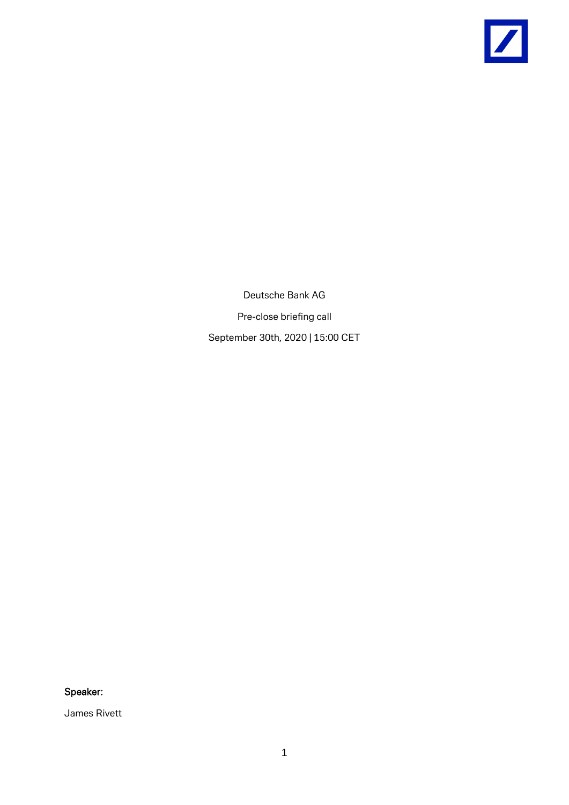

Deutsche Bank AG Pre-close briefing call September 30th, 2020 | 15:00 CET

Speaker:

James Rivett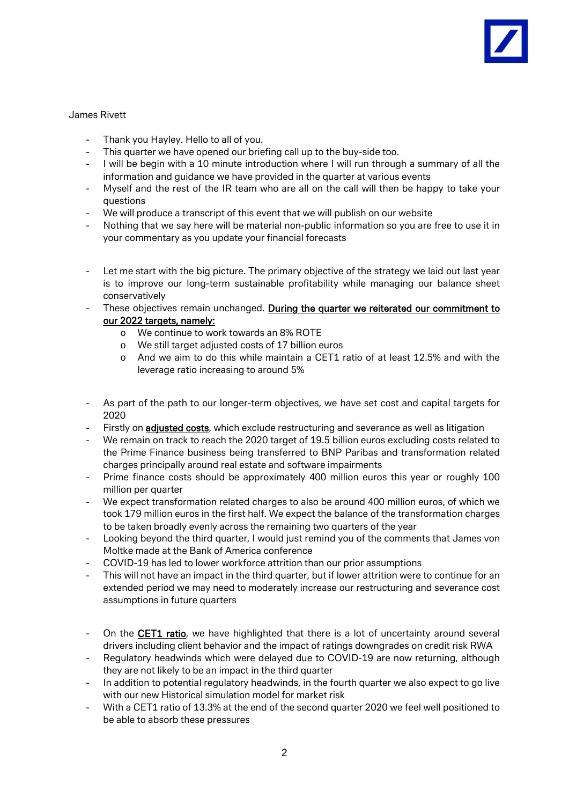## James Rivett

- Thank you Hayley. Hello to all of you.
- This quarter we have opened our briefing call up to the buy-side too.
- I will be begin with a 10 minute introduction where I will run through a summary of all the information and guidance we have provided in the quarter at various events
- Myself and the rest of the IR team who are all on the call will then be happy to take your questions
- We will produce a transcript of this event that we will publish on our website
- Nothing that we say here will be material non-public information so you are free to use it in your commentary as you update your financial forecasts
- Let me start with the big picture. The primary objective of the strategy we laid out last year is to improve our long-term sustainable profitability while managing our balance sheet conservatively
- These objectives remain unchanged. During the quarter we reiterated our commitment to our 2022 targets, namely:
	- o We continue to work towards an 8% ROTE
	- o We still target adjusted costs of 17 billion euros
	- o And we aim to do this while maintain a CET1 ratio of at least 12.5% and with the leverage ratio increasing to around 5%
- As part of the path to our longer-term objectives, we have set cost and capital targets for 2020
- Firstly on adjusted costs, which exclude restructuring and severance as well as litigation
- We remain on track to reach the 2020 target of 19.5 billion euros excluding costs related to the Prime Finance business being transferred to BNP Paribas and transformation related charges principally around real estate and software impairments
- Prime finance costs should be approximately 400 million euros this year or roughly 100 million per quarter
- We expect transformation related charges to also be around 400 million euros, of which we took 179 million euros in the first half. We expect the balance of the transformation charges to be taken broadly evenly across the remaining two quarters of the year
- Looking beyond the third quarter, I would just remind you of the comments that James von Moltke made at the Bank of America conference
- COVID-19 has led to lower workforce attrition than our prior assumptions
- This will not have an impact in the third quarter, but if lower attrition were to continue for an extended period we may need to moderately increase our restructuring and severance cost assumptions in future quarters
- On the CET1 ratio, we have highlighted that there is a lot of uncertainty around several drivers including client behavior and the impact of ratings downgrades on credit risk RWA
- Regulatory headwinds which were delayed due to COVID-19 are now returning, although they are not likely to be an impact in the third quarter
- In addition to potential regulatory headwinds, in the fourth quarter we also expect to go live with our new Historical simulation model for market risk
- With a CET1 ratio of 13.3% at the end of the second quarter 2020 we feel well positioned to be able to absorb these pressures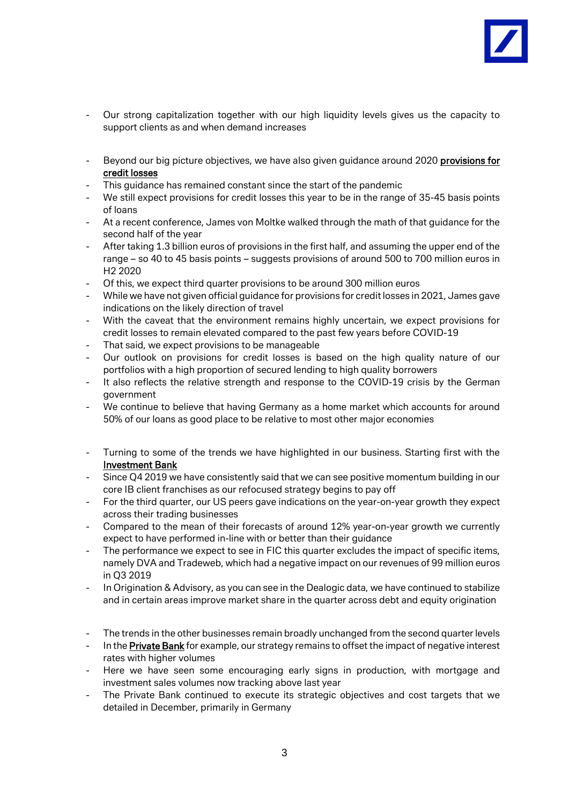

- Our strong capitalization together with our high liquidity levels gives us the capacity to support clients as and when demand increases
- Beyond our big picture objectives, we have also given guidance around 2020 provisions for credit losses
- This guidance has remained constant since the start of the pandemic
- We still expect provisions for credit losses this year to be in the range of 35-45 basis points of loans
- At a recent conference, James von Moltke walked through the math of that guidance for the second half of the year
- After taking 1.3 billion euros of provisions in the first half, and assuming the upper end of the range – so 40 to 45 basis points – suggests provisions of around 500 to 700 million euros in H2 2020
- Of this, we expect third quarter provisions to be around 300 million euros
- While we have not given official guidance for provisions for credit losses in 2021, James gave indications on the likely direction of travel
- With the caveat that the environment remains highly uncertain, we expect provisions for credit losses to remain elevated compared to the past few years before COVID-19
- That said, we expect provisions to be manageable
- Our outlook on provisions for credit losses is based on the high quality nature of our portfolios with a high proportion of secured lending to high quality borrowers
- It also reflects the relative strength and response to the COVID-19 crisis by the German government
- We continue to believe that having Germany as a home market which accounts for around 50% of our loans as good place to be relative to most other major economies
- Turning to some of the trends we have highlighted in our business. Starting first with the Investment Bank
- Since Q4 2019 we have consistently said that we can see positive momentum building in our core IB client franchises as our refocused strategy begins to pay off
- For the third quarter, our US peers gave indications on the year-on-year growth they expect across their trading businesses
- Compared to the mean of their forecasts of around 12% year-on-year growth we currently expect to have performed in-line with or better than their guidance
- The performance we expect to see in FIC this quarter excludes the impact of specific items, namely DVA and Tradeweb, which had a negative impact on our revenues of 99 million euros in Q3 2019
- In Origination & Advisory, as you can see in the Dealogic data, we have continued to stabilize and in certain areas improve market share in the quarter across debt and equity origination
- The trends in the other businesses remain broadly unchanged from the second quarter levels
- In the Private Bank for example, our strategy remains to offset the impact of negative interest rates with higher volumes
- Here we have seen some encouraging early signs in production, with mortgage and investment sales volumes now tracking above last year
- The Private Bank continued to execute its strategic objectives and cost targets that we detailed in December, primarily in Germany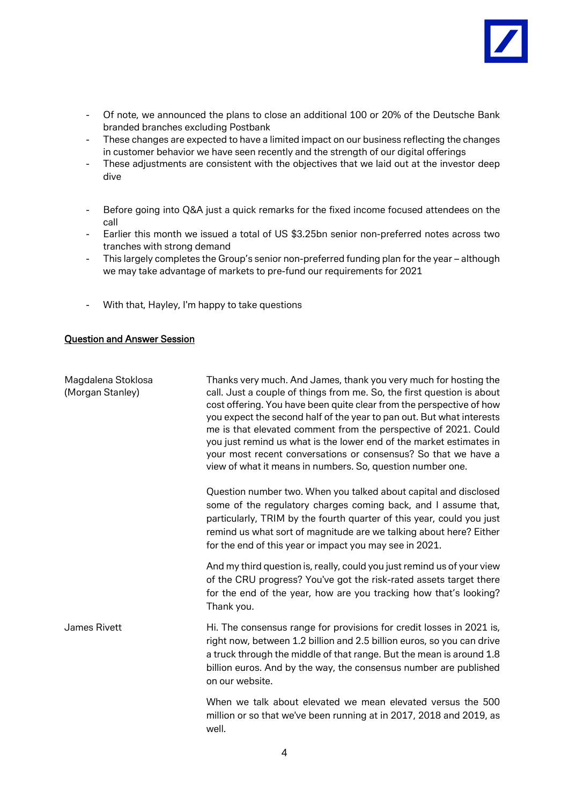

- Of note, we announced the plans to close an additional 100 or 20% of the Deutsche Bank branded branches excluding Postbank
- These changes are expected to have a limited impact on our business reflecting the changes in customer behavior we have seen recently and the strength of our digital offerings
- These adjustments are consistent with the objectives that we laid out at the investor deep dive
- Before going into Q&A just a quick remarks for the fixed income focused attendees on the call
- Earlier this month we issued a total of US \$3.25bn senior non-preferred notes across two tranches with strong demand
- This largely completes the Group's senior non-preferred funding plan for the year although we may take advantage of markets to pre-fund our requirements for 2021
- With that, Hayley, I'm happy to take questions

## Question and Answer Session

| Magdalena Stoklosa<br>(Morgan Stanley) | Thanks very much. And James, thank you very much for hosting the<br>call. Just a couple of things from me. So, the first question is about<br>cost offering. You have been quite clear from the perspective of how<br>you expect the second half of the year to pan out. But what interests<br>me is that elevated comment from the perspective of 2021. Could<br>you just remind us what is the lower end of the market estimates in<br>your most recent conversations or consensus? So that we have a<br>view of what it means in numbers. So, question number one. |
|----------------------------------------|-----------------------------------------------------------------------------------------------------------------------------------------------------------------------------------------------------------------------------------------------------------------------------------------------------------------------------------------------------------------------------------------------------------------------------------------------------------------------------------------------------------------------------------------------------------------------|
|                                        | Question number two. When you talked about capital and disclosed<br>some of the regulatory charges coming back, and I assume that,<br>particularly, TRIM by the fourth quarter of this year, could you just<br>remind us what sort of magnitude are we talking about here? Either<br>for the end of this year or impact you may see in 2021.                                                                                                                                                                                                                          |
|                                        | And my third question is, really, could you just remind us of your view<br>of the CRU progress? You've got the risk-rated assets target there<br>for the end of the year, how are you tracking how that's looking?<br>Thank you.                                                                                                                                                                                                                                                                                                                                      |
| James Rivett                           | Hi. The consensus range for provisions for credit losses in 2021 is,<br>right now, between 1.2 billion and 2.5 billion euros, so you can drive<br>a truck through the middle of that range. But the mean is around 1.8<br>billion euros. And by the way, the consensus number are published<br>on our website.                                                                                                                                                                                                                                                        |
|                                        | When we talk about elevated we mean elevated versus the 500<br>million or so that we've been running at in 2017, 2018 and 2019, as<br>well.                                                                                                                                                                                                                                                                                                                                                                                                                           |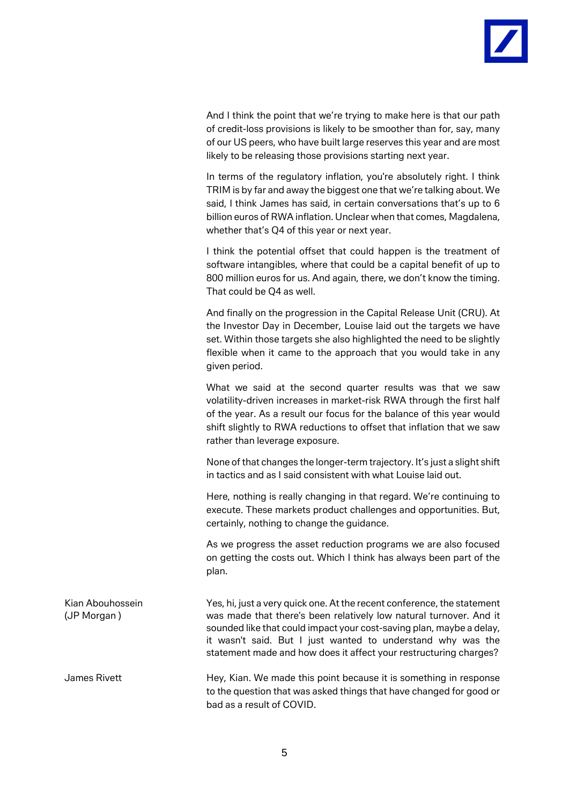And I think the point that we're trying to make here is that our path of credit-loss provisions is likely to be smoother than for, say, many of our US peers, who have built large reserves this year and are most likely to be releasing those provisions starting next year.

In terms of the regulatory inflation, you're absolutely right. I think TRIM is by far and away the biggest one that we're talking about. We said, I think James has said, in certain conversations that's up to 6 billion euros of RWA inflation. Unclear when that comes, Magdalena, whether that's Q4 of this year or next year.

I think the potential offset that could happen is the treatment of software intangibles, where that could be a capital benefit of up to 800 million euros for us. And again, there, we don't know the timing. That could be Q4 as well.

And finally on the progression in the Capital Release Unit (CRU). At the Investor Day in December, Louise laid out the targets we have set. Within those targets she also highlighted the need to be slightly flexible when it came to the approach that you would take in any given period.

What we said at the second quarter results was that we saw volatility-driven increases in market-risk RWA through the first half of the year. As a result our focus for the balance of this year would shift slightly to RWA reductions to offset that inflation that we saw rather than leverage exposure.

None of that changes the longer-term trajectory. It's just a slight shift in tactics and as I said consistent with what Louise laid out.

Here, nothing is really changing in that regard. We're continuing to execute. These markets product challenges and opportunities. But, certainly, nothing to change the guidance.

As we progress the asset reduction programs we are also focused on getting the costs out. Which I think has always been part of the plan.

Kian Abouhossein Yes, hi, just a very quick one. At the recent conference, the statement (JP Morgan ) was made that there's been relatively low natural turnover. And it sounded like that could impact your cost-saving plan, maybe a delay, it wasn't said. But I just wanted to understand why was the statement made and how does it affect your restructuring charges?

James Rivett Hey, Kian. We made this point because it is something in response to the question that was asked things that have changed for good or bad as a result of COVID.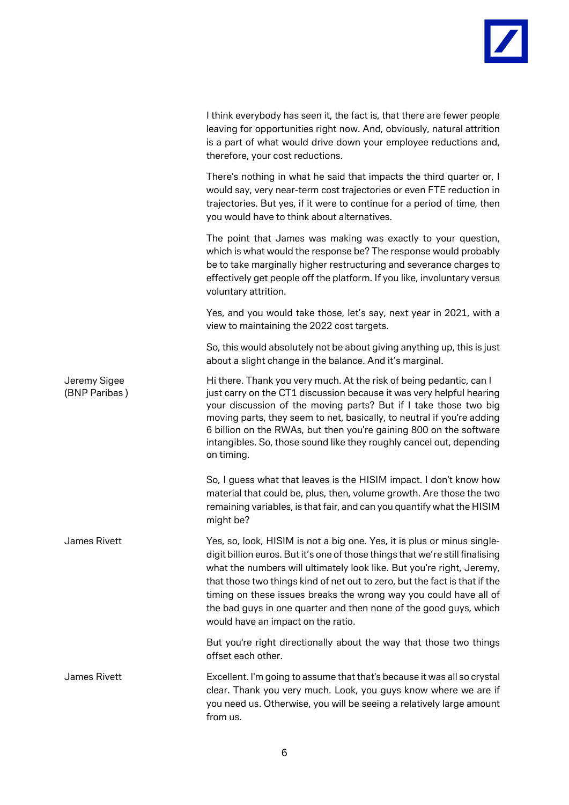

|                               | I think everybody has seen it, the fact is, that there are fewer people<br>leaving for opportunities right now. And, obviously, natural attrition<br>is a part of what would drive down your employee reductions and,<br>therefore, your cost reductions.                                                                                                                                                                                                                                       |
|-------------------------------|-------------------------------------------------------------------------------------------------------------------------------------------------------------------------------------------------------------------------------------------------------------------------------------------------------------------------------------------------------------------------------------------------------------------------------------------------------------------------------------------------|
|                               | There's nothing in what he said that impacts the third quarter or, I<br>would say, very near-term cost trajectories or even FTE reduction in<br>trajectories. But yes, if it were to continue for a period of time, then<br>you would have to think about alternatives.                                                                                                                                                                                                                         |
|                               | The point that James was making was exactly to your question,<br>which is what would the response be? The response would probably<br>be to take marginally higher restructuring and severance charges to<br>effectively get people off the platform. If you like, involuntary versus<br>voluntary attrition.                                                                                                                                                                                    |
|                               | Yes, and you would take those, let's say, next year in 2021, with a<br>view to maintaining the 2022 cost targets.                                                                                                                                                                                                                                                                                                                                                                               |
|                               | So, this would absolutely not be about giving anything up, this is just<br>about a slight change in the balance. And it's marginal.                                                                                                                                                                                                                                                                                                                                                             |
| Jeremy Sigee<br>(BNP Paribas) | Hi there. Thank you very much. At the risk of being pedantic, can I<br>just carry on the CT1 discussion because it was very helpful hearing<br>your discussion of the moving parts? But if I take those two big<br>moving parts, they seem to net, basically, to neutral if you're adding<br>6 billion on the RWAs, but then you're gaining 800 on the software<br>intangibles. So, those sound like they roughly cancel out, depending<br>on timing.                                           |
|                               | So, I guess what that leaves is the HISIM impact. I don't know how<br>material that could be, plus, then, volume growth. Are those the two<br>remaining variables, is that fair, and can you quantify what the HISIM<br>might be?                                                                                                                                                                                                                                                               |
| James Rivett                  | Yes, so, look, HISIM is not a big one. Yes, it is plus or minus single-<br>digit billion euros. But it's one of those things that we're still finalising<br>what the numbers will ultimately look like. But you're right, Jeremy,<br>that those two things kind of net out to zero, but the fact is that if the<br>timing on these issues breaks the wrong way you could have all of<br>the bad guys in one quarter and then none of the good guys, which<br>would have an impact on the ratio. |
|                               | But you're right directionally about the way that those two things<br>offset each other.                                                                                                                                                                                                                                                                                                                                                                                                        |
| James Rivett                  | Excellent. I'm going to assume that that's because it was all so crystal<br>clear. Thank you very much. Look, you guys know where we are if<br>you need us. Otherwise, you will be seeing a relatively large amount<br>from us.                                                                                                                                                                                                                                                                 |